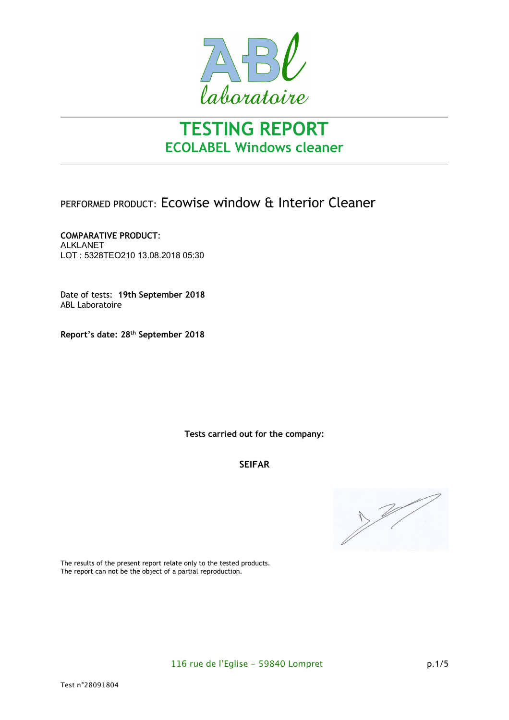

# **TESTING REPORT ECOLABEL Windows cleaner**

## PERFORMED PRODUCT: Ecowise window & Interior Cleaner

**COMPARATIVE PRODUCT**: ALKLANET LOT : 5328TEO210 13.08.2018 05:30

Date of tests: **19th September 2018** ABL Laboratoire

**Report's date: 28th September 2018**

**Tests carried out for the company:**

## **SEIFAR**



The results of the present report relate only to the tested products. The report can not be the object of a partial reproduction.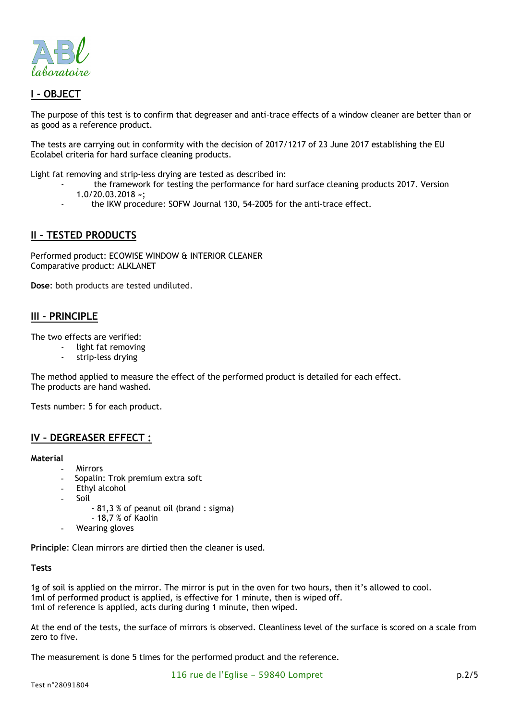



The purpose of this test is to confirm that degreaser and anti-trace effects of a window cleaner are better than or as good as a reference product.

The tests are carrying out in conformity with the decision of 2017/1217 of 23 June 2017 establishing the EU Ecolabel criteria for hard surface cleaning products.

Light fat removing and strip-less drying are tested as described in:

- the framework for testing the performance for hard surface cleaning products 2017. Version
- 1.0/20.03.2018 »;
- the IKW procedure: SOFW Journal 130, 54-2005 for the anti-trace effect.

#### **II - TESTED PRODUCTS**

Performed product: ECOWISE WINDOW & INTERIOR CLEANER Comparative product: ALKLANET

**Dose**: both products are tested undiluted.

#### **III - PRINCIPLE**

The two effects are verified:

- light fat removing
- strip-less drying

The method applied to measure the effect of the performed product is detailed for each effect. The products are hand washed.

Tests number: 5 for each product.

#### **IV – DEGREASER EFFECT :**

#### **Material**

- **Mirrors**
- Sopalin: Trok premium extra soft
- Ethyl alcohol
- **Soil** 
	- 81,3 % of peanut oil (brand : sigma)
	- 18,7 % of Kaolin
- Wearing gloves

**Principle**: Clean mirrors are dirtied then the cleaner is used.

#### **Tests**

1g of soil is applied on the mirror. The mirror is put in the oven for two hours, then it's allowed to cool. 1ml of performed product is applied, is effective for 1 minute, then is wiped off. 1ml of reference is applied, acts during during 1 minute, then wiped.

At the end of the tests, the surface of mirrors is observed. Cleanliness level of the surface is scored on a scale from zero to five.

The measurement is done 5 times for the performed product and the reference.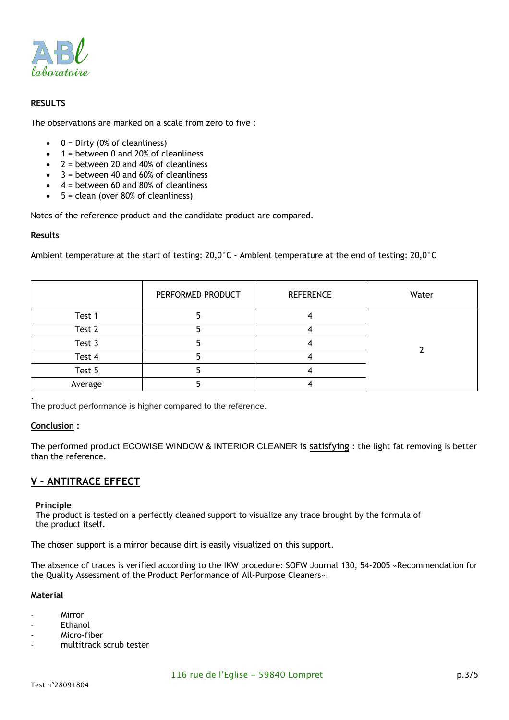

#### **RESULTS**

The observations are marked on a scale from zero to five :

- $\bullet$  0 = Dirty (0% of cleanliness)
- 1 = between 0 and 20% of cleanliness
- $2$  = between 20 and 40% of cleanliness
- 3 = between 40 and 60% of cleanliness
- 4 = between 60 and 80% of cleanliness
- $\bullet$  5 = clean (over 80% of cleanliness)

Notes of the reference product and the candidate product are compared.

#### **Results**

Ambient temperature at the start of testing: 20,0°C - Ambient temperature at the end of testing: 20,0°C

|         | PERFORMED PRODUCT | <b>REFERENCE</b> | Water |
|---------|-------------------|------------------|-------|
| Test 1  |                   |                  |       |
| Test 2  |                   |                  |       |
| Test 3  |                   |                  |       |
| Test 4  |                   |                  |       |
| Test 5  |                   |                  |       |
| Average |                   |                  |       |
|         |                   |                  |       |

The product performance is higher compared to the reference.

#### **Conclusion :**

The performed product ECOWISE WINDOW & INTERIOR CLEANER is satisfying : the light fat removing is better than the reference.

#### **V – ANTITRACE EFFECT**

#### **Principle**

The product is tested on a perfectly cleaned support to visualize any trace brought by the formula of the product itself.

The chosen support is a mirror because dirt is easily visualized on this support.

The absence of traces is verified according to the IKW procedure: SOFW Journal 130, 54-2005 «Recommendation for the Quality Assessment of the Product Performance of All-Purpose Cleaners».

#### **Material**

- Mirror
- **Fthanol**
- Micro-fiber
- multitrack scrub tester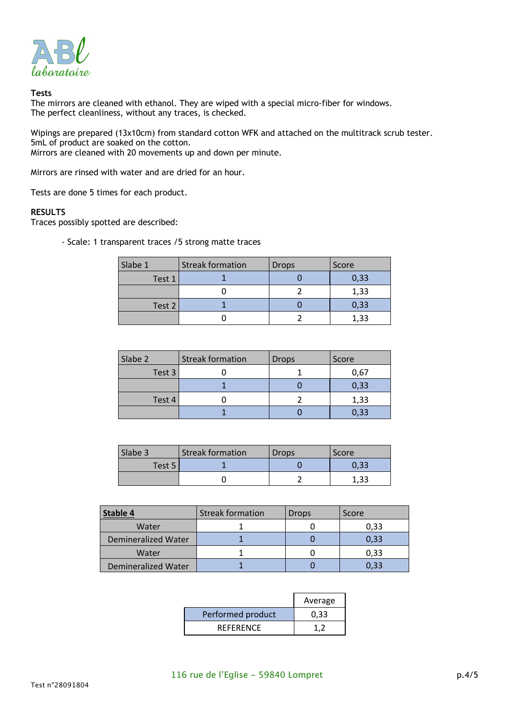

#### **Tests**

The mirrors are cleaned with ethanol. They are wiped with a special micro-fiber for windows. The perfect cleanliness, without any traces, is checked.

Wipings are prepared (13x10cm) from standard cotton WFK and attached on the multitrack scrub tester. 5mL of product are soaked on the cotton. Mirrors are cleaned with 20 movements up and down per minute.

Mirrors are rinsed with water and are dried for an hour.

Tests are done 5 times for each product.

#### **RESULTS**

Traces possibly spotted are described:

- Scale: 1 transparent traces /5 strong matte traces

| Slabe 1 | <b>Streak formation</b> | <b>Drops</b> | Score |
|---------|-------------------------|--------------|-------|
| Test 1  |                         |              | 0,33  |
|         |                         |              | 1,33  |
| Test 2  |                         |              | 0,33  |
|         |                         |              | 1,33  |

| Slabe 2 | <b>Streak formation</b> | <b>Drops</b> | Score |
|---------|-------------------------|--------------|-------|
| Test 3  |                         |              | 0,67  |
|         |                         |              | 0,33  |
| Test 4  |                         |              | 1,33  |
|         |                         |              | 0,33  |

| Slabe 3 | <b>Streak formation</b> | <b>Drops</b> | Score |
|---------|-------------------------|--------------|-------|
| Test 5  |                         |              | 0.33  |
|         |                         |              | 1.33  |

|                     | <b>Streak formation</b> | Drops | Score |
|---------------------|-------------------------|-------|-------|
| Water               |                         |       | 0,33  |
| Demineralized Water |                         |       | 0,33  |
| Water               |                         |       | 0,33  |
| Demineralized Water |                         |       | 0,33  |

|                   | Average |
|-------------------|---------|
| Performed product | 0.33    |
| <b>REFERENCE</b>  |         |